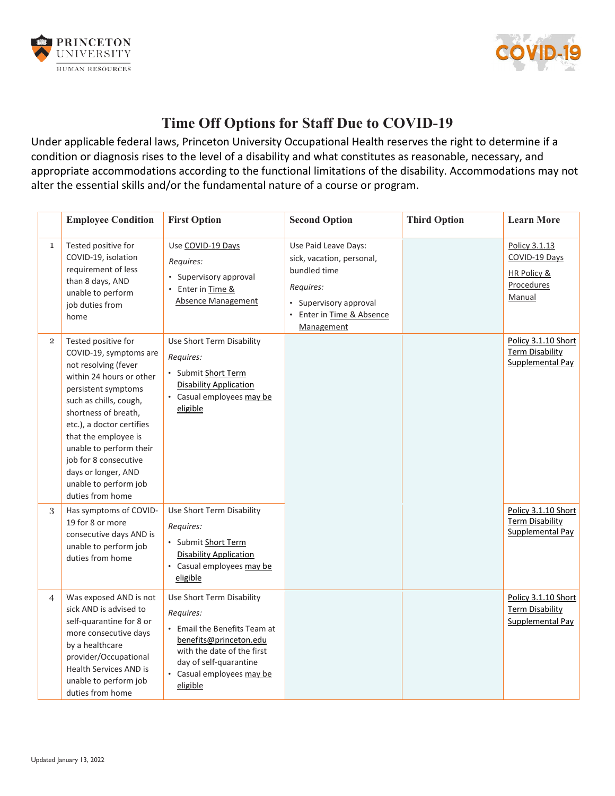



## **Time Off Options for Staff Due to COVID-19**

Under applicable federal laws, Princeton University Occupational Health reserves the right to determine if a condition or diagnosis rises to the level of a disability and what constitutes as reasonable, necessary, and appropriate accommodations according to the functional limitations of the disability. Accommodations may not alter the essential skills and/or the fundamental nature of a course or program.

|                | <b>Employee Condition</b>                                                                                                                                                                                                                                                                                                                               | <b>First Option</b>                                                                                                                                                                               | <b>Second Option</b>                                                                                                                                | <b>Third Option</b> | <b>Learn More</b>                                                     |
|----------------|---------------------------------------------------------------------------------------------------------------------------------------------------------------------------------------------------------------------------------------------------------------------------------------------------------------------------------------------------------|---------------------------------------------------------------------------------------------------------------------------------------------------------------------------------------------------|-----------------------------------------------------------------------------------------------------------------------------------------------------|---------------------|-----------------------------------------------------------------------|
| $\mathbf{1}$   | Tested positive for<br>COVID-19, isolation<br>requirement of less<br>than 8 days, AND<br>unable to perform<br>job duties from<br>home                                                                                                                                                                                                                   | Use COVID-19 Days<br>Requires:<br>• Supervisory approval<br>• Enter in Time &<br>Absence Management                                                                                               | Use Paid Leave Days:<br>sick, vacation, personal,<br>bundled time<br>Requires:<br>• Supervisory approval<br>• Enter in Time & Absence<br>Management |                     | Policy 3.1.13<br>COVID-19 Days<br>HR Policy &<br>Procedures<br>Manual |
| $\overline{2}$ | Tested positive for<br>COVID-19, symptoms are<br>not resolving (fever<br>within 24 hours or other<br>persistent symptoms<br>such as chills, cough,<br>shortness of breath,<br>etc.), a doctor certifies<br>that the employee is<br>unable to perform their<br>job for 8 consecutive<br>days or longer, AND<br>unable to perform job<br>duties from home | Use Short Term Disability<br>Requires:<br>• Submit Short Term<br><b>Disability Application</b><br>• Casual employees may be<br>eligible                                                           |                                                                                                                                                     |                     | Policy 3.1.10 Short<br><b>Term Disability</b><br>Supplemental Pay     |
| 3              | Has symptoms of COVID-<br>19 for 8 or more<br>consecutive days AND is<br>unable to perform job<br>duties from home                                                                                                                                                                                                                                      | Use Short Term Disability<br>Requires:<br>• Submit Short Term<br><b>Disability Application</b><br>• Casual employees may be<br>eligible                                                           |                                                                                                                                                     |                     | Policy 3.1.10 Short<br><b>Term Disability</b><br>Supplemental Pay     |
| $\overline{4}$ | Was exposed AND is not<br>sick AND is advised to<br>self-quarantine for 8 or<br>more consecutive days<br>by a healthcare<br>provider/Occupational<br><b>Health Services AND is</b><br>unable to perform job<br>duties from home                                                                                                                         | Use Short Term Disability<br>Requires:<br>• Email the Benefits Team at<br>benefits@princeton.edu<br>with the date of the first<br>day of self-quarantine<br>• Casual employees may be<br>eligible |                                                                                                                                                     |                     | Policy 3.1.10 Short<br><b>Term Disability</b><br>Supplemental Pay     |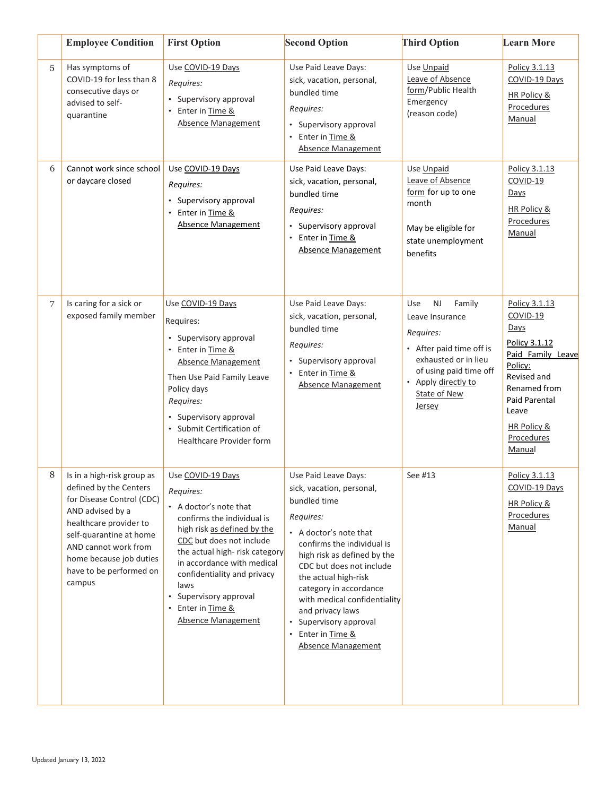|   | <b>Employee Condition</b>                                                                                                                                                                                                                          | <b>First Option</b>                                                                                                                                                                                                                                                                                                                 | <b>Second Option</b>                                                                                                                                                                                                                                                                                                                                                                           | <b>Third Option</b>                                                                                                                                                                              | <b>Learn More</b>                                                                                                                                                                                    |
|---|----------------------------------------------------------------------------------------------------------------------------------------------------------------------------------------------------------------------------------------------------|-------------------------------------------------------------------------------------------------------------------------------------------------------------------------------------------------------------------------------------------------------------------------------------------------------------------------------------|------------------------------------------------------------------------------------------------------------------------------------------------------------------------------------------------------------------------------------------------------------------------------------------------------------------------------------------------------------------------------------------------|--------------------------------------------------------------------------------------------------------------------------------------------------------------------------------------------------|------------------------------------------------------------------------------------------------------------------------------------------------------------------------------------------------------|
| 5 | Has symptoms of<br>COVID-19 for less than 8<br>consecutive days or<br>advised to self-<br>quarantine                                                                                                                                               | Use COVID-19 Days<br>Requires:<br>• Supervisory approval<br>• Enter in Time &<br><b>Absence Management</b>                                                                                                                                                                                                                          | Use Paid Leave Days:<br>sick, vacation, personal,<br>bundled time<br>Requires:<br>• Supervisory approval<br>• Enter in Time &<br><b>Absence Management</b>                                                                                                                                                                                                                                     | Use Unpaid<br>Leave of Absence<br>form/Public Health<br>Emergency<br>(reason code)                                                                                                               | Policy 3.1.13<br>COVID-19 Days<br><b>HR Policy &amp;</b><br>Procedures<br>Manual                                                                                                                     |
| 6 | Cannot work since school<br>or daycare closed                                                                                                                                                                                                      | Use COVID-19 Days<br>Requires:<br>• Supervisory approval<br>Enter in Time &<br>$\bullet$<br><b>Absence Management</b>                                                                                                                                                                                                               | Use Paid Leave Days:<br>sick, vacation, personal,<br>bundled time<br>Requires:<br>• Supervisory approval<br>• Enter in Time &<br><b>Absence Management</b>                                                                                                                                                                                                                                     | Use Unpaid<br>Leave of Absence<br>form for up to one<br>month<br>May be eligible for<br>state unemployment<br><b>henefits</b>                                                                    | Policy 3.1.13<br>$COVID-19$<br>Days<br><b>HR Policy &amp;</b><br>Procedures<br>Manual                                                                                                                |
| 7 | Is caring for a sick or<br>exposed family member                                                                                                                                                                                                   | Use COVID-19 Days<br>Requires:<br>• Supervisory approval<br>• Enter in Time &<br><b>Absence Management</b><br>Then Use Paid Family Leave<br>Policy days<br>Requires:<br>• Supervisory approval<br>• Submit Certification of<br><b>Healthcare Provider form</b>                                                                      | Use Paid Leave Days:<br>sick, vacation, personal,<br>bundled time<br>Requires:<br>• Supervisory approval<br>• Enter in Time &<br><b>Absence Management</b>                                                                                                                                                                                                                                     | <b>NJ</b><br>Use<br>Family<br>Leave Insurance<br>Requires:<br>• After paid time off is<br>exhausted or in lieu<br>of using paid time off<br>• Apply directly to<br><b>State of New</b><br>Jersey | Policy 3.1.13<br>COVID-19<br>Days<br>Policy 3.1.12<br>Paid Family Leave<br>Policy:<br>Revised and<br>Renamed from<br>Paid Parental<br>Leave<br><b>HR Policy &amp;</b><br><b>Procedures</b><br>Manual |
| 8 | Is in a high-risk group as<br>defined by the Centers<br>for Disease Control (CDC)<br>AND advised by a<br>healthcare provider to<br>self-quarantine at home<br>AND cannot work from<br>home because job duties<br>have to be performed on<br>campus | Use COVID-19 Days<br>Requires:<br>• A doctor's note that<br>confirms the individual is<br>high risk as defined by the<br>CDC but does not include<br>the actual high-risk category<br>in accordance with medical<br>confidentiality and privacy<br>laws<br>• Supervisory approval<br>• Enter in Time &<br><b>Absence Management</b> | Use Paid Leave Days:<br>sick, vacation, personal,<br>bundled time<br>Requires:<br>• A doctor's note that<br>confirms the individual is<br>high risk as defined by the<br>CDC but does not include<br>the actual high-risk<br>category in accordance<br>with medical confidentiality<br>and privacy laws<br>• Supervisory approval<br>Enter in Time &<br>$\bullet$<br><b>Absence Management</b> | See #13                                                                                                                                                                                          | Policy 3.1.13<br>COVID-19 Days<br><b>HR Policy &amp;</b><br>Procedures<br>Manual                                                                                                                     |